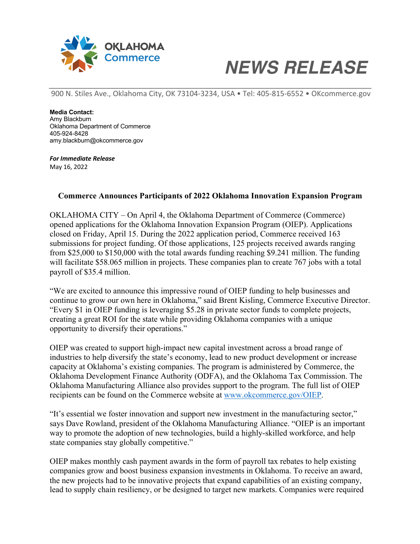

## *NEWS RELEASE*

900 N. Stiles Ave., Oklahoma City, OK 73104-3234, USA • Tel: 405-815-6552 • OKcommerce.gov

**Media Contact:** Amy Blackburn Oklahoma Department of Commerce 405-924-8428 amy.blackburn@okcommerce.gov

*For Immediate Release* May 16, 2022

## **Commerce Announces Participants of 2022 Oklahoma Innovation Expansion Program**

OKLAHOMA CITY – On April 4, the Oklahoma Department of Commerce (Commerce) opened applications for the Oklahoma Innovation Expansion Program (OIEP). Applications closed on Friday, April 15. During the 2022 application period, Commerce received 163 submissions for project funding. Of those applications, 125 projects received awards ranging from \$25,000 to \$150,000 with the total awards funding reaching \$9.241 million. The funding will facilitate \$58.065 million in projects. These companies plan to create 767 jobs with a total payroll of \$35.4 million.

"We are excited to announce this impressive round of OIEP funding to help businesses and continue to grow our own here in Oklahoma," said Brent Kisling, Commerce Executive Director. "Every \$1 in OIEP funding is leveraging \$5.28 in private sector funds to complete projects, creating a great ROI for the state while providing Oklahoma companies with a unique opportunity to diversify their operations."

OIEP was created to support high-impact new capital investment across a broad range of industries to help diversify the state's economy, lead to new product development or increase capacity at Oklahoma's existing companies. The program is administered by Commerce, the Oklahoma Development Finance Authority (ODFA), and the Oklahoma Tax Commission. The Oklahoma Manufacturing Alliance also provides support to the program. The full list of OIEP recipients can be found on the Commerce website at www.okcommerce.gov/OIEP.

"It's essential we foster innovation and support new investment in the manufacturing sector," says Dave Rowland, president of the Oklahoma Manufacturing Alliance. "OIEP is an important way to promote the adoption of new technologies, build a highly-skilled workforce, and help state companies stay globally competitive."

OIEP makes monthly cash payment awards in the form of payroll tax rebates to help existing companies grow and boost business expansion investments in Oklahoma. To receive an award, the new projects had to be innovative projects that expand capabilities of an existing company, lead to supply chain resiliency, or be designed to target new markets. Companies were required